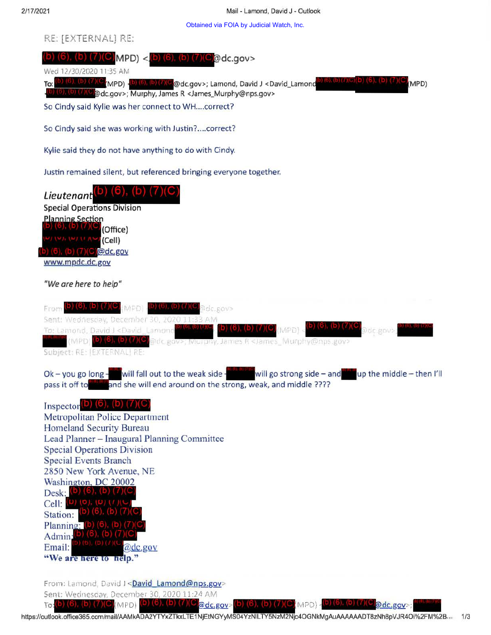Obtained via FOIA by Judicial Watch, Inc.



Sent: Wednesday, December 30, 2020 11:24 AM

(b) (6), (b) (7)(C  $\text{To}(\mathsf{D})$  (b), (b)  $\text{()}(C)(\text{MPD})$ @dc.gov>  $(D)$   $(1)$  $(MPD)$  during  $(M \cup \Omega d c.gov)$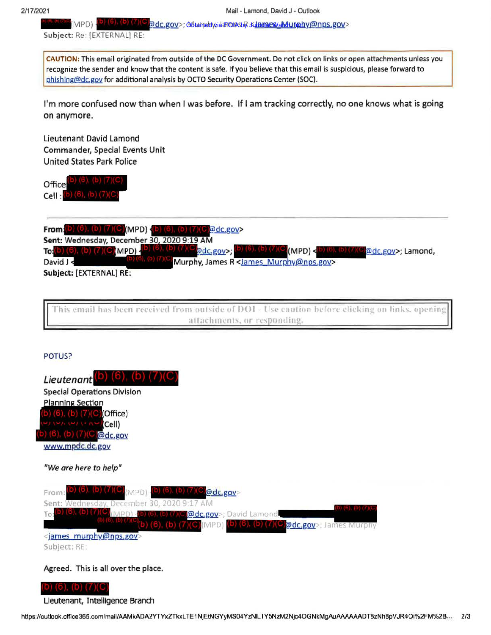)) (b), (b) (/)(じ adc.gov>; obtained wia FOIA by Julanaes / Murahy @nps.gov> - MPD)

Subject: Re: [EXTERNAL] RE:

CAUTION: This email originated from outside of the DC Government. Do not click on links or open attachments unless you recognize the sender and know that the content is safe. If you believe that this email is suspicious, please forward to phishing@dc.gov for additional analysis by OCTO Security Operations Center (SOC).

I'm more confused now than when I was before. If I am tracking correctly, no one knows what is going on anymore.

lieutenant David Lamond Commander, Special Events Unit United States Park Police

Office Cell :

**From:** (b) (6), (b) (7)(C)(MPD) (b) (6), (b) (7)(C) $Qdc.gov$ Sent: Wednesday, December 30, 2020 9:19 AM To: $(b)$  (6), (b) (7)(C) MPD). (b) (6), (b) (7)(C (MPD) <(b) (6), (b) (7)(C adc gov>; Lamond, David J Murphy, James R <James Murphy@nps.gov> **Subject:** [EXTERNAL]

This email has been received from outside of DOI - Use caution before clicking on links, open attachments, or responding,

## POTUS?



D) (6), (D) (7)(C Lieutenant, Intelligence Branch